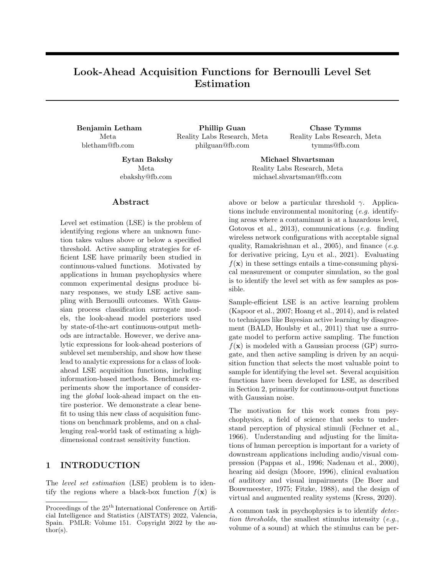# Look-Ahead Acquisition Functions for Bernoulli Level Set Estimation

Meta bletham@fb.com

Benjamin Letham Phillip Guan Chase Tymms Reality Labs Research, Meta philguan@fb.com

> Meta ebakshy@fb.com

### Abstract

Level set estimation (LSE) is the problem of identifying regions where an unknown function takes values above or below a specified threshold. Active sampling strategies for efficient LSE have primarily been studied in continuous-valued functions. Motivated by applications in human psychophysics where common experimental designs produce binary responses, we study LSE active sampling with Bernoulli outcomes. With Gaussian process classification surrogate models, the look-ahead model posteriors used by state-of-the-art continuous-output methods are intractable. However, we derive analytic expressions for look-ahead posteriors of sublevel set membership, and show how these lead to analytic expressions for a class of lookahead LSE acquisition functions, including information-based methods. Benchmark experiments show the importance of considering the global look-ahead impact on the entire posterior. We demonstrate a clear benefit to using this new class of acquisition functions on benchmark problems, and on a challenging real-world task of estimating a highdimensional contrast sensitivity function.

# 1 INTRODUCTION

The level set estimation (LSE) problem is to identify the regions where a black-box function  $f(\mathbf{x})$  is

tymms@fb.com Eytan Bakshy Michael Shvartsman

Reality Labs Research, Meta

Reality Labs Research, Meta michael.shvartsman@fb.com

above or below a particular threshold  $\gamma$ . Applications include environmental monitoring (e.g. identifying areas where a contaminant is at a hazardous level, [Gotovos et al., 2013\)](#page-9-0), communications (e.g. finding wireless network configurations with acceptable signal quality, [Ramakrishnan et al., 2005\)](#page-10-0), and finance  $(e.g.,)$ for derivative pricing, [Lyu et al., 2021\)](#page-10-1). Evaluating  $f(\mathbf{x})$  in these settings entails a time-consuming physical measurement or computer simulation, so the goal is to identify the level set with as few samples as possible.

Sample-efficient LSE is an active learning problem [\(Kapoor et al., 2007;](#page-10-2) [Hoang et al., 2014\)](#page-9-1), and is related to techniques like Bayesian active learning by disagreement (BALD, [Houlsby et al., 2011\)](#page-9-2) that use a surrogate model to perform active sampling. The function  $f(\mathbf{x})$  is modeled with a Gaussian process (GP) surrogate, and then active sampling is driven by an acquisition function that selects the most valuable point to sample for identifying the level set. Several acquisition functions have been developed for LSE, as described in Section [2,](#page-1-0) primarily for continuous-output functions with Gaussian noise.

The motivation for this work comes from psychophysics, a field of science that seeks to understand perception of physical stimuli [\(Fechner et al.,](#page-9-3) [1966\)](#page-9-3). Understanding and adjusting for the limitations of human perception is important for a variety of downstream applications including audio/visual compression [\(Pappas et al., 1996;](#page-10-3) [Nadenau et al., 2000\)](#page-10-4), hearing aid design [\(Moore, 1996\)](#page-10-5), clinical evaluation of auditory and visual impairments [\(De Boer and](#page-9-4) [Bouwmeester, 1975;](#page-9-4) [Fitzke, 1988\)](#page-9-5), and the design of virtual and augmented reality systems [\(Kress, 2020\)](#page-10-6).

A common task in psychophysics is to identify detection thresholds, the smallest stimulus intensity  $(e.q.,)$ volume of a sound) at which the stimulus can be per-

Proceedings of the  $25<sup>th</sup>$  International Conference on Artificial Intelligence and Statistics (AISTATS) 2022, Valencia, Spain. PMLR: Volume 151. Copyright 2022 by the au- $\text{thor}(s)$ .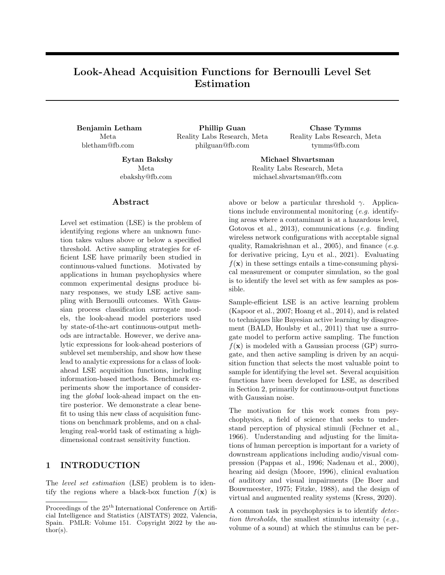ceived, usually as a function of other stimulus properties (e.g., frequency). Finding detection thresholds is an LSE problem for the threshold level, notably with Bernoulli observations  $y \neq 0, 1g$  indicating whether or not a stimulus was perceived. GP surrogate models and active sampling methods have been applied to psychophysics threshold estimation problems with Bernoulli responses [\(Gardner et al., 2015;](#page-9-6) [Song et al.,](#page-11-0) [2015,](#page-11-0) [2017,](#page-11-1) [2018;](#page-11-2) [Cox and de Vries, 2016;](#page-9-7) [Schlitten](#page-11-3)[lacher et al., 2018,](#page-11-3) [2020;](#page-10-7) [Owen et al., 2021\)](#page-10-8). This prior work has been limited to a 1-d or 2-d stimulus space of audiograms and, in contrast to our work here, has not used LSE acquisition functions, rather has used global learning methods such as BALD and then extracted the level set post hoc from the surrogate posterior. As a notable exception, [Owen et al.](#page-10-8) [\(2021\)](#page-10-8) used the straddle acquisition, which is described below.

Look-ahead acquisition functions select points based on the impact their observation will have on the subsequent surrogate model. They are the state-of-the-art approach for LSE [\(Bogunovic et al., 2016;](#page-8-0) [Lyu et al.,](#page-10-1) [2021;](#page-10-1) [Nguyen et al., 2021\)](#page-10-9), as well as for Bayesian op-timization (BO) [\(Scott et al., 2011;](#page-11-4) Hernández-Lobato [et al., 2014;](#page-9-8) [Wang and Jegelka, 2017;](#page-11-5) [Balandat et al.,](#page-8-1) [2020\)](#page-8-1), which is related to LSE by the use of GP surrogates and acquisition functions. They have additionally been shown to be useful in the psychophysics setting, albeit with a parametric model and only in one dimension [\(Kim et al., 2017\)](#page-10-10).

Look-ahead acquisition functions rely on being able to compute a posterior update given the proposed observation, which can be done analytically with Gaussian observations. Unfortunately, with Bernoulli observations the surrogate model posterior updates are no longer analytic. This is vital for acquisition optimization, which requires computing many thousands of look-ahead posteriors throughout the course of active sampling.

Our work here enables tractable look-ahead acquisition for the Bernoulli LSE problem. Specifically, the contributions of this paper are:

- 1. Despite the look-ahead surrogate model posterior being intractable with Bernoulli observations, we derive posterior update formulae that, remarkably, enable exact, closed-form computation of several state-of-the-art look-ahead acquisition functions, including information-based approaches.
- 2. Our look-ahead posterior formulae enable easy construction of novel acquisition functions, which we show by introducing expected absolute volume change (EAVC), a new acquisition function inspired by max-value entropy search in BO.
- 3. We evaluate the acquisition functions with a thor-

ough simulation study, which shows that lookahead is critical for achieving good level set estimates in high dimensions. We also show that simply being look-ahead is not enough to ensure reliable performance—the acquisition function must also be global, a distinction we discuss in Section [2.](#page-1-0)

4. Our work enables rapid acquisition function computation that is suitable for human experiments, which we show by applying our global look-ahead acquisition functions to a real, high-dimensional psychophysics problem.

### <span id="page-1-0"></span>2 BACKGROUND

#### 2.1 Models for Level Set Estimation

We consider a black-box function  $f(\mathbf{x})$ , with  $\mathbf{x} \times \mathbf{B}$ and  $B \in \mathbb{R}^d$  a compact set. Our goal is to identify the set  $L_{\gamma}(f) = f\mathbf{x} : f(\mathbf{x}) \quad \gamma g$ , known as the *sublevel set*. When  $f$  has continuous outputs, it is typical to assume a Gaussian observation model  $y = f(\mathbf{x}) + \epsilon$ , with  $\epsilon$  i.i.d. Gaussian noise. We give  $f$  a GP prior, then, given a set of observations  $D_n = f(x_i^{\text{obs}}, y_i^{\text{obs}}) g_{i=1}^n$ , the joint posterior for any set of points is a multivariate normal (MVN) with analytic mean and covariance [\(Ras](#page-10-11)[mussen and Williams, 2006\)](#page-10-11). We denote the marginal posterior at **x** as  $f(\mathbf{x})/D_n$  $\mathcal{N}(\mu(\mathbf{x}/D_n), \sigma^2(\mathbf{x}/D_n)).$ 

With Bernoulli observations  $y \neq 0, 1q$ , the standard practice is to use a classification GP based on either a logit or probit model [\(Kuss and Ras](#page-10-12)[mussen, 2005\)](#page-10-12). Here we focus on the probit case, in which y Bernoulli $(z(\mathbf{x}))$ , with latent probability  $z(\mathbf{x}) = \Phi(f(\mathbf{x}))$  and  $\Phi()$  denoting the Gaussian cumulative distribution function. With Bernoulli observations, the predictive posterior for  $f/D_n$  requires approximation, but a variety of efficient approximations have been developed, including Laplace approximation [\(Williams and Barber, 1998\)](#page-11-6), expectation propagation [\(Minka, 2001\)](#page-10-13), and variational inference [\(Hens](#page-9-9)[man et al., 2015\)](#page-9-9). Our experiments use variational inference, but the acquisition functions we develop are agnostic to how inference is done—for our purposes it is sufficient to have an MVN posterior for  $f$ .

We define  $\theta = \Phi(\gamma)$  to be the desired threshold for the probability function  $z(\mathbf{x})$ . Then,  $L_{\gamma}(f) = L_{\theta}(z)$ , and so LSE for  $z(\mathbf{x})$  can equivalently be done directly on  $z(\mathbf{x})$  or in the latent space of  $f(\mathbf{x})$ . An important quantity for the acquisition functions described below is  $\pi(\mathbf{x}/D_n) = P(\mathbf{x} \ 2 \ L_{\gamma}(f)/D_n)$ , which we call the *level* set posterior. Given the GP posterior, we can compute the level set posterior as

$$
\pi(\mathbf{x}/D_n) = \Phi\left(\frac{\gamma - \mu(\mathbf{x}/D_n)}{\sigma(\mathbf{x}/D_n)}\right). \tag{1}
$$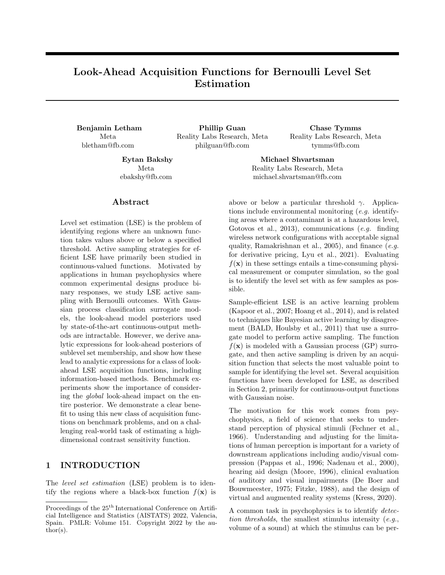#### 2.2 Acquisition for Level Set Estimation

#### 2.2.1 Non-look-ahead Acquisition

During active sampling, at each iteration we select a maximizer of the acquisition function to be the next point sampled. General purpose active sampling strategies such as BALD seek to reduce global uncertainty in the posterior of f or z, which can waste samples by reducing variance in regions that are far from the threshold, the main area of interest for LSE.

[Bryan et al.](#page-8-2) [\(2005\)](#page-8-2) developed the first acquisition functions tailored for LSE, the most successful of which was the *straddle*, which is of similar flavor to the well-known upper confidence bound (UCB) acquisition function [\(Srinivas et al., 2010\)](#page-11-7):

$$
\alpha_{\text{straddle}}(\mathbf{x}) = j\mu(\mathbf{x} \, jD_n) \quad \gamma j + \beta \sigma(\mathbf{x} \, jD_n).
$$

As in UCB, the parameter  $\beta$  drives exploration by selecting higher variance points; [Bryan et al.](#page-8-2) [\(2005\)](#page-8-2) used  $\beta = 1.96$ . They also considered as acquisition functions the misclassification probability and the entropy of the level set posterior:

$$
\alpha_{\text{misclass}}(\mathbf{x}) = \min(\pi(\mathbf{x}/D_n), 1 \quad \pi(\mathbf{x}/D_n)),
$$
  
 
$$
\alpha_{\text{entropy}}(\mathbf{x}) = H_b(\pi(\mathbf{x}/D_n)),
$$

where  $H_b(p) = p \log_2 p \quad (1 \quad p) \log_2(1 \quad p)$  is the binary entropy function. They found that the straddle acquisition performed best, though noted that all of these acquisition functions are "subject to oversampling edge positions." [Gotovos et al.](#page-9-0) [\(2013\)](#page-9-0) provided theoretical grounding for LSE and proved sample complexity bounds for extensions of the straddle. [Ranjan](#page-10-14) [et al.](#page-10-14) [\(2008\)](#page-10-14) adapted the Expected Improvement criterion from BO [\(Jones et al., 1998\)](#page-9-10) by defining an improvement function with respect to the threshold.

#### <span id="page-2-3"></span>2.3 Look-ahead Acquisition

Subsequent development of acquisition functions for LSE have focused on look-ahead approaches, which consider not just the posterior at the candidate point  $x$ , but how the posterior at a different point  $x_q$  will change as a result of an observation at x . We denote the look-ahead dataset as  $D_{n+1}(\mathbf{x}, y) = D_n$  [  $f(\mathbf{x}, y)$  g, and note that  $D_{n+1}(\mathbf{x}, y)$  is a random variable via  $y$ . Much of the past work in look-ahead acquisition has relied on the useful GP property that, with Gaussian observations, the look-ahead variance  $\sigma^2(\mathbf{x}/D_{n+1}(\mathbf{x}, y))$  does not depend on y, and can be computed analytically.

[Picheny et al.](#page-10-15) [\(2010\)](#page-10-15) introduced the first look-ahead acquisition function for LSE , targeted integrated mean squared error (tIMSE), which minimizes look-ahead posterior variance, weighted according to distance to the threshold by some function  $w_{\gamma}(\mathbf{x})$ :

<span id="page-2-0"></span>
$$
\alpha_{\text{tIMSE}}(\mathbf{x}) = \int_{B} \sigma^{2}(\mathbf{x}/D_{n+1}(\mathbf{x}, y)) w_{\gamma}(\mathbf{x}) d\mathbf{x}
$$

$$
C \sum_{\mathbf{x}_{q} \geq G} \sigma^{2}(\mathbf{x}_{q}/D_{n+1}(\mathbf{x}, y)) w_{\gamma}(\mathbf{x}_{q}). \quad (2)
$$

This is an example of a global look-ahead acquisition function that evaluates the impact of observing x on the entire design space, using quasi-Monte Carlo  $(qMC)$  integration [\(Caflisch, 1998\)](#page-9-11). Here G is a quasirandom sequence and  $C = \frac{\text{Vol}(B)}{\sqrt{G}}$  is a constant that can be ignored for the purpose of acquisition optimization. The tIMSE formula in [\(2\)](#page-2-0) is analytic due to the analytic form of  $\sigma^2(\mathbf{x}_q/D_{n+1}(\mathbf{x}, y))$ , and so can be cheaply evaluated in batch across a large set of global reference points G. [Bogunovic et al.](#page-8-0) [\(2016\)](#page-8-0) used a similar approach by minimizing the total look-ahead posterior variance of the region that was not yet decidedly classified as above or below threshold. [Zanette](#page-11-8) [et al.](#page-11-8) [\(2018\)](#page-11-8) utilized the analytic look-ahead posterior to construct an expected improvement-based criterion.

An important class of methods are of the form

<span id="page-2-2"></span>
$$
\alpha(\mathbf{x}) = Q(D_n) \quad \mathbb{E}_y \left[ Q(D_{n+1}(\mathbf{x}, y)) \right] \tag{3}
$$

where  $Q(D_n)$  is a cost function applied to the surrogate model posterior, and  $Q(D_{n+1}(\mathbf{x}, y))$  is that same cost function applied to the look-ahead posterior. Stepwise uncertainty reduction (SUR, [Bect et al.,](#page-8-3) [2012;](#page-8-3) [Chevalier et al., 2014\)](#page-9-12) uses expected classification error as the cost function, and thus maximizes the expected look-ahead misclassification error reduction:

$$
Q_{\text{GlobalSUR}}(D_n) = \sum_{\mathbf{x}_q \geq G} \min(\pi(\mathbf{x}_q)D_n), 1 \quad \pi(\mathbf{x}_q)D_n)
$$
\n(4)

<span id="page-2-4"></span><span id="page-2-1"></span>
$$
=\sum_{\mathbf{x}_q\geq G}\Phi\left(\begin{array}{cc}\frac{j\mu(\mathbf{x}_qjD_n)-\gamma j}{\sigma(\mathbf{x}_qjD_n)}\end{array}\right),\qquad(5)
$$

where the global impact is again being estimated via a sum over a quasi-random sequence, as in [\(2\)](#page-2-0).  $Q_{\text{GlobalSUR}}(D_{n+1}(\mathbf{x}, y))$  is computed in the same manner using the look-ahead posterior, so when [\(5\)](#page-2-1) is plugged into [\(3\)](#page-2-2), the acquisition function is analytic.

Acquisitions of the form [\(3\)](#page-2-2) can be formed either as a global look-ahead, as with GlobalSUR, or as a localized version that considers the look-ahead impact of observing  $x$  just on  $x$  :

<span id="page-2-5"></span>
$$
Q_{\text{LocalSUR}}(D_n) = \min(\pi(\mathbf{x} \ jD_n), 1 \quad \pi(\mathbf{x} \ jD_n)). \tag{6}
$$

[Lyu et al.](#page-10-1) [\(2021\)](#page-10-1) call this method "gradient SUR." It avoids the summation over the global reference set G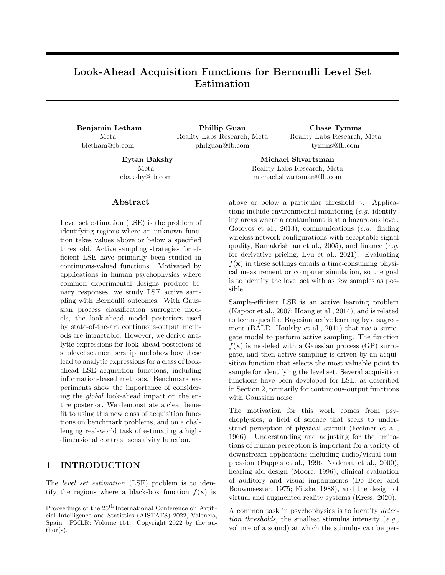required to compute GlobalSUR, but provides a less direct measurement of the total value of observing **x**.

[Azzimonti et al.](#page-8-4) [\(2021\)](#page-8-4) applied the SUR strategy to the volume of misclassified points, via the Vorob'ev expectation, with particular focus on active learning of conservative level set estimates that seek to control the type I error rate. In Section [4.1](#page-4-0) we also use measures of level set volume to construct an acquisition function, though with a different approach that does not control error rates and is not a SUR strategy.

Global information gain has long been a target for level set acquisition. [Bryan et al.](#page-8-2) [\(2005\)](#page-8-2) wrote of their acquisition functions, "we believe the good performance of the evaluation metrics proposed below stems from their being heuristic proxies for global information gain." [Nguyen et al.](#page-10-9) [\(2021\)](#page-10-9) constructed a localized mutual information (MI) acquisition function by taking

<span id="page-3-2"></span>
$$
Q_{\text{LocalMI}}(D_n) = H_b(\pi(\mathbf{x} \ jD_n)) \tag{7}
$$

in the acquisition form [\(3\)](#page-2-2), and called this strategy binary entropy search (BES). As with SUR, computation of the look-ahead term  $Q_{\text{LocalMI}}(D_{n+1}(\mathbf{x}, y))$ has hitherto relied on the analytic look-ahead posteriors that exist only for Gaussian observations. A criterion for global information gain naturally parallels GlobalSUR:

<span id="page-3-3"></span>
$$
Q_{\text{GlobalMI}}(D_n) = \sum_{\mathbf{x}_q \geq G} H_b(\pi(\mathbf{x}_q)D_n)). \tag{8}
$$

The only work that has applied LSE acquisition functions to GP classification surrogates is that of [Lyu et al.](#page-10-1) [\(2021\)](#page-10-1), who studied LSE under high levels of heavy-tailed noise. For the Bernoulli likelihood, they derived an approximation for the intractable look-ahead variance  $\sigma^2(\mathbf{x}/D_{n+1}(\mathbf{x}, y))$ based on plug-in estimates, and further approximated  $\mu(\mathbf{x}/D_{n+1}(\mathbf{x}, y))$   $\mu(\mathbf{x}/D_n)$ , which enabled approximate SUR computation via [\(5\)](#page-2-1).

# 3 BERNOULLI LOOK-AHEAD POSTERIOR UPDATES

With Bernoulli observations, the latent look-ahead posterior  $p(f/D_{n+1}(\mathbf{x}, y))$  is not analytic. However, other quantities important for computing acquisition functions are. The moments of the posterior  $p(z|D_n)$ are analytic:

<span id="page-3-4"></span>**Proposition 1.** Let 
$$
a = \rho \frac{\mu(\mathbf{x}/D_n)}{1 + \sigma^2(\mathbf{x}/D_n)}
$$
 and  $c = \rho \frac{1}{1 + \sigma^2(\mathbf{x}/D_n)}$ . Then,  
\n $E[z(\mathbf{x})/D_n] = \Phi(a),$   
\n $Var[z(\mathbf{x})/D_n] = \Phi(a) \Phi(a)^2 2T(a, c).$ 

Here  $T($ , ) is Owen's T function, which can be computed efficiently [\(Patefield and Tandy, 2000\)](#page-10-16) and is available in SciPy [\(Jones et al., 2001\)](#page-9-13). The formula for the mean is well-known and used in several applications of classification GPs (e.g. [Houlsby et al., 2011\)](#page-9-2); the variance is derived in the supplement. This result enables computing the straddle acquisition on the posterior of z instead of that of  $f$ , which accounts for the variance squashing of the  $\Phi$ ( ) transformation. However, our primary interest lies in look-ahead posteriors, and  $p(z/D_{n+1}(\mathbf{x}, y))$  is intractable.

Our main result is that despite the look-ahead posteriors for f and z being intractable, the look-ahead level set posterior  $\pi(\mathbf{x}_q/D_{n+1}(\mathbf{x}, y))$  is analytic, in terms of  $\Phi$ () and BvN(, ;  $\rho$ ), which denotes the standard (zero-mean, unit-variance) bivariate normal distribution function with correlation  $\rho$ .

<span id="page-3-0"></span>**Theorem 1.** Let  $b_q = \frac{\gamma - \mu(\mathbf{x}_q/D_n)}{\sigma(\mathbf{x}_q/D_n)}$  $\frac{\mu(\mathbf{x}_q_j \cup n)}{\sigma(\mathbf{x}_q_j \cup n)}, \ \sigma(\mathbf{x}_q, \mathbf{x} \ jD_n) =$  $Cov[f(\mathbf{x}_q), f(\mathbf{x})/D_n],$  and

$$
Z_q = BvN\left(a, b_q; \frac{\sigma(\mathbf{x}_q, \mathbf{x}/D_n)}{\sigma(\mathbf{x}_q/D_n)\sqrt{1 + \sigma^2(\mathbf{x}/D_n)}}\right).
$$

The level set posterior at  $\mathbf{x}_q$  given observation  $y = 1$ at x is

$$
\pi(\mathbf{x}_q/D_{n+1}(\mathbf{x}, y = 1)) = \frac{Z_q}{\Phi(a)}.
$$

Given observation  $y = 0$ , the level set posterior at  $\mathbf{x}_q$ is

$$
\pi(\mathbf{x}_q)D_{n+1}(\mathbf{x}, y = 0)) = \frac{\Phi(b_q)}{\Phi(a)} \frac{Z_q}{\Phi(a)}.
$$

If 
$$
\mathbf{x}_q = \mathbf{x}
$$
, these results hold with  $\sigma(\mathbf{x}_q, \mathbf{x} / D_n) = \sigma^2(\mathbf{x}_q/D_n) = \sigma^2(\mathbf{x} / D_n) \text{ and } \mu(\mathbf{x}_q/D_n) = \mu(\mathbf{x} / D_n).$ 

The proof is in the supplement. There are several routines for efficiently computing  $BvN( , ; \rho)$ —we use the method of [Genz](#page-9-14) [\(2004\)](#page-9-14), which produces a differentiable estimate that enables us to compute gradients of the look-ahead level set posterior for acquisition optimization.

This result shows that the look-ahead level set posterior at  $x_q$  given an observation at x can be computed analytically using only the GP posterior at those points. Fig. [1](#page-4-1) shows an example of the global lookahead posterior for the 2-d discrimination test problem from Section [5.](#page-5-0) The posteriors are conditional on the binary outcome  $y$ , whose distribution is:

<span id="page-3-1"></span>**Proposition 2.**  $P(y = 1/D_n, x) = \Phi(a)$ .

We now show how these results can be used to construct Bernoulli LSE versions of look-ahead acquisition functions from Section [2.3,](#page-2-3) as well as novel acquisition functions.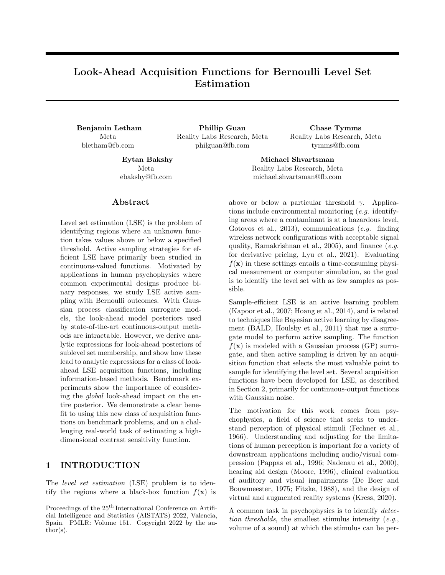

<span id="page-4-1"></span>Figure 1: Level set posteriors. Left: The level set posterior for a model fit to 20 observations (gray markers) of the 2-d discrimination test function. Middle, Right: Look-ahead posteriors given an observation at x (red marker) of  $y = 1$  (Middle) and  $y = 0$  (Right). The look-ahead posteriors are computed analytically using the formulae of Theorem [1,](#page-3-0) and form the basis of acquisition function computation.



Figure 2: **Acquisition functions.** Acquisition surfaces for the same posterior in Fig. [1.](#page-4-1) The red star indicates the point that maximizes the acquisition function. Localized look-ahead methods (LocalSUR, LocalMI) show the same edge-seeking as the non-look-ahead Straddle. Global look-ahead methods (GlobalSUR, GlobalMI, EAVC) select interior points near the threshold.

# 4 BERNOULLI LOOK-AHEAD ACQUISITION FUNCTIONS

The formulae in Theorem [1](#page-3-0) enable efficient computation of any look-ahead acquisition function that depends on the model only via the level set posterior. In particular, acquisition functions of the form [\(3\)](#page-2-2) can be computed for any  $Q()$  that is a function of  $\pi$ (), which includes both SUR and MI. The key quantity is the expectation over the look-ahead posteriors,  $E_y$  [Q( $D_{n+1}(\mathbf{x}, y)$ )], which can be computed via Theorem [1](#page-3-0) and Proposition [2.](#page-3-1) For instance,

$$
E_y [Q_{\text{LocalMI}}(D_{n+1}(\mathbf{x}, y))] =
$$
  
 
$$
\Phi(a) H_b \left(\frac{Z_q}{\Phi(a)}\right) + \Phi(a) H_b \left(\frac{\Phi(b_q) - Z_q}{\Phi(a)}\right).
$$

Expressions for GlobalSUR, LocalSUR, LocalMI, and GlobalMI in the Bernoulli case are obtained by plugging the posterior formulae into  $(4)$ ,  $(6)$ ,  $(7)$ , and [\(8\)](#page-3-3), respectively. These expressions are fully analytic; complete expressions for each acquisition function are given in the supplement.

#### <span id="page-4-3"></span><span id="page-4-0"></span>4.1 A Novel Volume Acquisition Function

Besides SUR and MI, other quantities of interest for acquisition functions can be computed with the formulae in Theorem [1.](#page-3-0) In BO, the successful max-value entropy search acquisition function [\(Wang and Jegelka,](#page-11-5) [2017\)](#page-11-5) finds the point that is most informative about the best function value as opposed to being informative about the best point. The same concept can be applied to LSE by seeking points that are informative about the *volume* of the sublevel set  $L_{\gamma}(f)$ . The qMC expected sublevel-set volume is

<span id="page-4-2"></span>
$$
\widetilde{V}(D_n) = C \sum_{\mathbf{x}_q \geq C} \pi(\mathbf{x}_q) D_n).
$$
 (9)

There are many approaches one might take to assess how informative a candidate point x is about  $Vol(L_{\gamma}(f))$ , and here we consider the expected absolute volume change (EAVC) produced by observing x , which is a direct measure of how sensitive  $Vol(L_{\gamma}(f))$ is to the outcome at x :

$$
\alpha_{\text{EAVC}}(\mathbf{x}) = \mathbb{E}_y \left[ \left| \widetilde{V}(D_n) - \widetilde{V}(D_{n+1}(\mathbf{x}, y)) \right| \right].
$$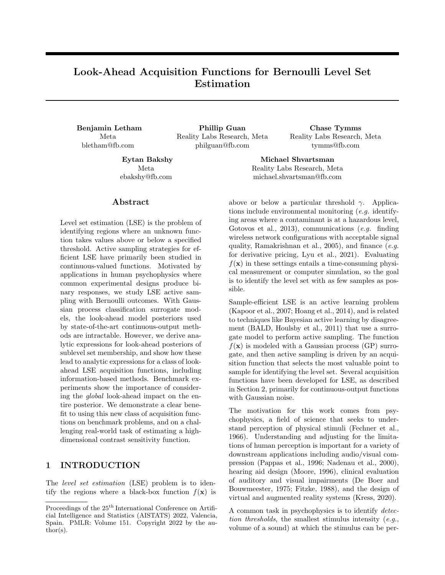The look-ahead volumes under  $y = 0$  and  $y = 1$  can be computed by plugging the look-ahead posteriors into [\(9\)](#page-4-2), producing an analytic acquisition function; the complete expression is given in the supplement. Along with SUR and MI, EAVC shows the breadth of the acquisition functions that can be computed using Theorem [1.](#page-3-0) The acquisition functions cover a broad set of target criteria (misclassification error, entropy, and volume), and also have variety in their functional form: SUR and MI are both of the form [\(3\)](#page-2-2), while EAVC is not, showing that acquisition functions do not have to be of the form [\(3\)](#page-2-2) in order to be computed via Theorem [1,](#page-3-0) or to be useful.

Fig. [2](#page-4-3) shows each acquisition function when computed on the posterior of Fig. [1.](#page-4-1) The acquisition functions are broadly similar, with elevated values along the threshold and in the high-uncertainty region of the top-right corner. However, they have substantially different maxima, and thus propose different candidates for the next iteration. Straddle selects the point on the threshold at the edge of the design space, consistent with the observation of [Bryan et al.](#page-8-2) [\(2005\)](#page-8-2) that it oversamples the edges. The localized look-ahead methods (LocalMI, LocalSUR) also select points on the edges. Edge points have high uncertainty in GP posteriors, and edge samples are highly informative about the edge point itself, the criterion for a localized look-ahead method. However, edge points are less informative about the global surface as a whole, and so we see the global look-ahead methods (EAVC, GlobalMI, GlobalSUR) select interior points along the highest-uncertainty portion of the threshold.

## <span id="page-5-0"></span>5 BENCHMARK EXPERIMENTS

We use three benchmark problems to evaluate and understand the performance of look-ahead acquisition functions for Bernoulli LSE. The first is a binarized version of the classic Hartmann 6-d function, using the same modified version of [Lyu et al.](#page-10-1) [\(2021\)](#page-10-1), plus an affine transformation and an inverse probit transform to produce Bernoulli responses; see the supplement for the full functional form.

Inspired by our primary application area of psychophysics, the other benchmark problems are a lowdimensional  $(d = 2)$  and a high-dimensional  $(d = 8)$ synthetic function modeled after psychophysical discrimination tasks. The 2-d discrimination function is from [Owen et al.](#page-10-8) [\(2021\)](#page-10-8), and is linear in an intensity dimension  $(x_2)$  with slope given by a polynomial function of the other dimension  $(x_1)$ . It is modeled after psychometric functions in domains such as haptics and multisensory perception. The 8-d discrimination function is similarly linear in an intensity dimension, with a slope given by a sum of shifted and scaled sinusoids, whose parameters form the other seven dimensions. Functional forms of both are given in the supplement.

Both discrimination test functions mimic psychophysics tasks in which the participant must identify which of two images/sounds/etc. has the stimulus, and we record if the identification was correct  $(y = 1)$ or incorrect  $(y = 0)$ . When the stimulus intensity is very low, the participant must guess and the probability of a correct response is lower-bounded at  $p = 0.5$ , and reaches this minimum along many of the edges of the search space. The goal in the experiment is to identify the detection threshold, where  $p = 0.75$ .

We applied eight active sampling strategies to each of the three problems: the non-look-ahead straddle, applied to the posterior of the response probability  $z$  as in Proposition [1;](#page-3-4) localized look-ahead methods Local-SUR and LocalMI; global look-ahead methods GlobalSUR, GlobalMI, and EAVC; the approximate global SUR method of [Lyu et al.](#page-10-1) [\(2021\)](#page-10-1), ApproxGlobalSUR; and quasi-random search with a scrambled Sobol sequence [\(Owen, 1998\)](#page-10-17). To ensure differences are due solely to the acquisition function, all methods used the same GP classification surrogate model and the same gradient optimization of the acquisition function—see the supplement for details<sup>[1](#page-5-1)</sup>. We evaluated performance using the Brier score [\(Brier, 1950\)](#page-8-5), a strictly proper scoring rule [\(Gneiting and Raftery, 2007\)](#page-9-15) that assesses the quality and calibration of the level set posterior. See the supplement for extended results, including additional evaluation metrics, additional baseline methods such as BALD, and a sensitivity study.

Fig. [3](#page-6-0) shows the results of the benchmark experiments. In the 2-d discrimination problem, all LSE acquisition functions performed significantly better than the quasi-random baseline, and straddle and LocalMI were among the best-performing methods. However, on the high-dimensional problems, LocalMI performed worse than quasi-random search by a substantial margin, as did straddle and LocalSUR on the 8-d problem. Global methods generally outperformed localized methods and the quasi-random baseline, consistent with the conclusion that global look-ahead is a key ingredient needed to achieve consistently strong performance. Among global methods, GlobalSUR showed variable performance, consistent with the findings of [Lyu et al.](#page-10-1) [\(2021\)](#page-10-1) who noted that SUR underperformed with classification metamodels. Interestingly, Approx-GlobalSUR generally outperformed GlobalSUR, which seemed to underexplore on the 8-d discrimination

<span id="page-5-1"></span><sup>1</sup>Software for reproducing all of the methods and experiments in this paper, including the real-world task, is available at [https://github.com/facebookresearch/](https://github.com/facebookresearch/bernoulli_lse/) [bernoulli\\_lse/](https://github.com/facebookresearch/bernoulli_lse/)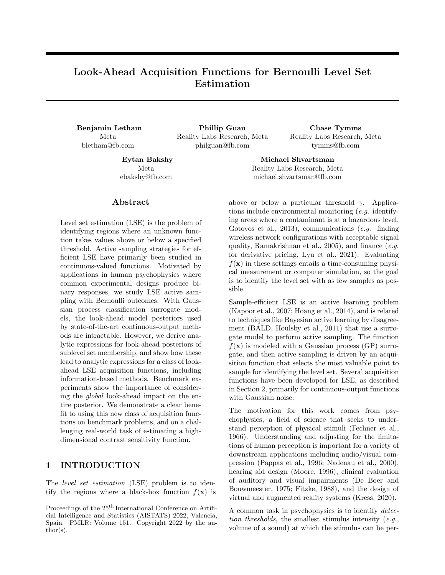

<span id="page-6-0"></span>Figure 3: Benchmark results. Brier score (lower is better) for the level set posterior as a function of active sampling iteration, averaged over 280 repeated runs with error bars showing two standard errors. On the highdimensional problems, straddle and the localized look-ahead methods (LocalMI, LocalSUR) did not perform better than the quasi-random baseline. Global methods GlobalMI and EAVC were best in high dimensions.



<span id="page-6-1"></span>Figure 4: Example stimuli from the real psychophysical discrimination task. The human's task is to determine whether the white noise is on the right or the left of the image. In the three examples in this figure, the correct response is "left." Left: A stimulus whose discrimination probability is approximately 1. The stimulus is both large and clearly visible against the background. *Middle:* A stimulus near the detection threshold of  $p = 0.75$ . The contrast is very low and the stimulus is small. Right: A stimulus whose discrimination probability is  $p = 0.5$ . The stimulus is essentially invisible against the background and the participant must resort to random guessing. The real stimulus was additionally animated with some temporal frequency, and appeared at some distance and angle from the center of the screen.

problem, suggesting that the posterior approximations encouraged better exploration. GlobalMI and EAVC both performed consistently well across problems.

Consistent with Fig. [2,](#page-4-3) we found that localized lookahead methods sampled significantly more near the edges. On the Binarized Hartmann6 problem, 99% of samples with LocalMI were near an edge, compared to 80% with GlobalMI, 55% with EAVC, and 47% with quasi-random search—see the supplement for a full analysis of edge sampling behavior. On the lowdimensional problem, the tendency to oversample the edges was not as detrimental and the localized methods showed some advantage. However, they failed badly in high dimensions where a higher degree of exploration was critical.

Importantly, the wall time to select the next point with

the global acquisition functions was generally under a second in a standard multi-core setting, making these methods suitable for real human experiments—see the supplement for details on running times.

# <span id="page-6-2"></span>6 REAL PSYCHOPHYSICS TASK

The contrast sensitivity function (CSF) describes how human visual sensitivity depends on stimulus properties such as spatial frequency and contrast. It is a crucial model of human vision used for clinical assessment [\(Owsley, 2003\)](#page-10-18) and in applied settings to estimate visual appearance [\(Campbell and Robson, 1968;](#page-9-16) [Man](#page-10-19)[tiuk et al., 2011,](#page-10-19) [2021\)](#page-10-20). Contrast sensitivity is affected by a number of variables including eccentricity, size, color, orientation, mean luminance, spatial frequency, and temporal frequency [\(Robson, 1966;](#page-10-21) [Wright and](#page-11-9)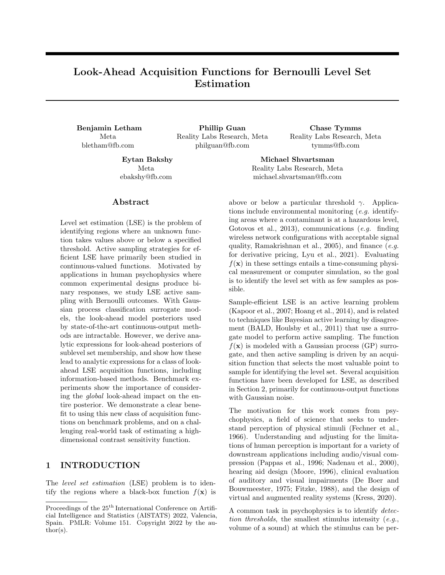[Johnston, 1983;](#page-11-9) [Mullen, 1985;](#page-10-22) [Foley et al., 2007;](#page-9-17) [Kim](#page-10-23) [et al., 2020\)](#page-10-23). Contrast sensitivity thresholds across these dimensions have been previously measured piecemeal with traditional psychophysical methods which cannot scale beyond three or four dimensions, and therefore a definitive CSF simultaneously accounting for all of these variables does not exist.

To evaluate our methods on CSF threshold identification, we ran a real CSF psychophysical discrimination study on one of the authors using Psychopy [\(Peirce](#page-10-24) [et al., 2019\)](#page-10-24). As is standard for CSF measurement, stimuli were animated, Gaussian-windowed sinusoidal gratings, conventionally known as Gabor patches [\(Ga](#page-9-18)[bor, 1946\)](#page-9-18), generated by convolving a sinusoid with a Gaussian, which then had one half of the image scrambled, and were animated by advancing the phase of the sinusoid. Fig. [4](#page-6-1) shows three examples of stimuli used in this experiment, where the task for the participant was to identify whether the scrambled half of the image was on the left or the right, and the  $y$ response is whether they correctly identified the side with the stimulus  $(y = 1)$  or not  $(y = 0)$ . This was thus a discrimination task like those in Section [5](#page-5-0) where the success rate was lower-bounded by  $p = 0.5$  (guessing). The goal was to identify the detection threshold where  $p = 0.75$ . For each stimulus, we varied eight properties that are known to affect the CSF: background luminance, stimulus contrast, stimulus orientation, temporal frequency of the animation, spatial frequency, stimulus size, and location on the screen (angle and distance from center). We collected responses to 1000 quasi-random stimuli which were used to fit a 6-d surrogate model for benchmarking purposes—see the supplement for details. We evaluated the same LSE methods from Section [5,](#page-5-0) using the surrogate model as ground truth from which Bernoulli responses were simulated.

The results on the real-world CSF task are shown in Fig. [5.](#page-7-0) As in the high-dimensional synthetic problems, straddle and the local methods (LocalMI and LocalSUR) failed to outperform the non-active quasirandom baseline. Global look-ahead methods continued to consistently perform best.

# 7 DISCUSSION

We have derived analytic formulae for the lookahead level-set posteriors with Bernoulli observations, and used them to construct acquisition functions for Bernoulli LSE. The formulae enabled applying stateof-the-art approaches for Gaussian observations, SUR and MI, to the Bernoulli setting, while also making it easy to construct EAVC, a novel acquisition function. Prior to this work, none of the look-ahead acquisition



<span id="page-7-0"></span>Figure 5: Real psychophysics task results. Performance averaged across 280 repeated runs on the real contrast sensitivity function task. As in the synthetic benchmarks, non-global acquisition functions generally performed poorly, and the quasi-random baseline was remarkably strong. Global look-ahead methods performed best, and significantly better than the other methods.

functions could be applied directly to Bernoulli LSE, leaving the straddle and quasi-random search as the primary available strategies. The results of Theorem [1](#page-3-0) have thus greatly expanded the Bernoulli LSE acquisition toolbox.

Our empirical results showed that the global lookahead acquisition functions developed in this paper are essential for consistently achieving good estimates of the level set. The localized look-ahead methods LocalSUR and LocalMI have previously been studied with Gaussian observations, and shown to perform well on those problems [\(Picheny et al., 2010;](#page-10-15) [Nguyen](#page-10-9) [et al., 2021\)](#page-10-9); we found that in high-dimensional problems with Bernoulli observations, they often performed worse than quasi-random search. This highlights the importance of evaluating acquisition functions particularly for this setting, as well as the key differences between this setting and the more typical Gaussian observations.

The setting we consider here is particularly challenging for active learning because Bernoulli observations in essence have very high noise levels in the region of interest. The standard deviation of a Bernoulli random variable is  $\sqrt{p(1-p)}$ , which at the target threshold here of  $p = 0.75$  is approximately 0.43; this nearly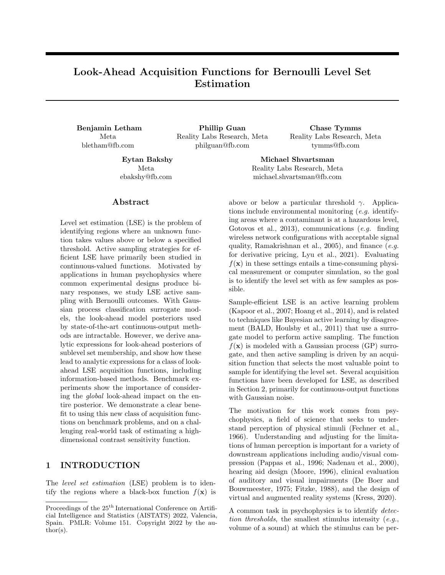equals the total variation of the entire function (p from 0.5 to 1). Noise levels on par with the total function variation make it difficult to learn a decent global surrogate, and mean that many observations are required to significantly reduce posterior variance. This exacerbates existing boundary over-exploration pathologies of GPs in general [\(Siivola et al., 2018\)](#page-11-10) and classification GPs in particular (e.g. [Song et al., 2017\)](#page-11-1). Localized look-ahead methods target areas of high variance on the edges, and, unlike in the Gaussian case, get stuck on the edges because in high dimensions the variance is never sufficiently reduced. Thus having a lookahead acquisition function is not by itself sufficient to achieve good performance, we must look ahead to the global impact of a point.

The strong performance of quasi-random search as a baseline on the high-dimensional problems highlights an interesting difference between LSE and BO, where quasi-random search does not typically provide as strong a comparator. In BO, the target is often a single point, the global optimum. In LSE, we are trying to learn the boundary of the set  $L_{\gamma}(f)$ , which in general could be a  $(d \quad 1)$ -dimensional manifold. LSE thus inherently requires more global evaluation than BO. Quasi-random search performs maximally global evaluation of the function, which is much less detrimental for LSE than for BO. Much of the literature on LSE has not included a critical evaluation of random or quasi-random search in benchmark experiments our results show that one should always be included.

Our real-world application focused on a visual psychophysics task, but there is a broad set of other useful applications for Bernoulli LSE. In robotics, one may wish to find the set of controller parameters under which a robot can successfully traverse an obstacle with high probability [\(Tesch et al., 2013\)](#page-11-11). This problem can be cast as Bernoulli LSE. Several other important classes of problems have discrete outputs, such as ordinal regression [\(Chu et al., 2005\)](#page-9-19) and preference learning [\(Chu and Ghahramani, 2005;](#page-9-20) Fürnkranz and Hüllermeier, 2010). Finding all configurations that are preferred to a current baseline via preference learning can be cast as Bernoulli LSE. Finally, psychophysics itself comprises many application areas: it is a foundational component of AR/VR research, a rapidly developing area of computing, while also having several important applications in disease diagnostics and management, as described in the Introduction.

While our results show strong estimation performance with the acquisition functions developed here, there remain several important areas of future work. First, in acquisition function development: There is no single best acquisition function for all problems, and LSE as a field will benefit from expanding the acquisition toolbox. Our results make it easy to compute any lookahead acquisition function that is a function of the level set posterior, which can accelerate development for Bernoulli LSE. Second, in the scope of the lookahead: Recent work in BO has targeted multi-step acquisition functions, in which we look ahead multiple steps of acquisition rather than just one as is done here  $(González et al., 2016; Jiang et al., 2020a,b). Our re (González et al., 2016; Jiang et al., 2020a,b). Our re (González et al., 2016; Jiang et al., 2020a,b). Our re (González et al., 2016; Jiang et al., 2020a,b). Our re$ sults here could form a basis for non-myopic Bernoulli LSE. Finally, in the model classes: Similar results may exist for other types of classification GPs, such as the logit model or skew GPs [\(Benavoli et al., 2020\)](#page-8-6), which have different advantages relative to the probit model used here.

#### Acknowledgements

Thanks to James Wilson for developing a differentiable BVN routine that enabled gradient optimization of the look-ahead acquisition functions; Lucy Owen for assistance with implementing the human experiments; the AEPsych team for development of the [AEPsych](https://github.com/facebookresearch/aepsych) platform in which the experiments were run; and the anonymous reviewers for their constructive feedback.

#### References

- <span id="page-8-4"></span>Azzimonti, D., Ginsbourger, D., Chevalier, C., Bect, J., and Richet, Y. (2021). Adaptive design of experiments for conservative estimation of excursion sets. Technometrics, 63(1):13–26.
- <span id="page-8-1"></span>Balandat, M., Karrer, B., Jiang, D. R., Daulton, S., Letham, B., Wilson, A. G., and Bakshy, E. (2020). BoTorch: A framework for efficient Monte-Carlo Bayesian optimization. In Advances in Neural Information Processing Systems 33, NeurIPS, pages 21524–21538.
- <span id="page-8-3"></span>Bect, J., Ginsbourger, D., Li, L., Picheny, V., and Vazquez, E. (2012). Sequential design of computer experiments for the estimation of a probability of failure. Statistics and Computing, 22:773–793.
- <span id="page-8-6"></span>Benavoli, A., Azzimonti, D., and Piga, D. (2020). Skew Gaussian process for classification. Machine Learning, 109:1877–1902.
- <span id="page-8-0"></span>Bogunovic, I., Scarlett, J., Krause, A., and Cevher, V. (2016). Truncated variance reduction: A unified approach to Bayesian optimization and level-set estimation. In Advances in Neural Information Processing Systems 29, NIPS, pages 1507–1515.
- <span id="page-8-5"></span>Brier, G. W. (1950). Verification of forecasts expressed in terms of probability. Monthly Weather Review,  $78(1):1-3.$
- <span id="page-8-2"></span>Bryan, B., Nichol, R. C., Genovese, C. R., Schneider, J., Miller, C. J., and Wasserman, L. (2005). Active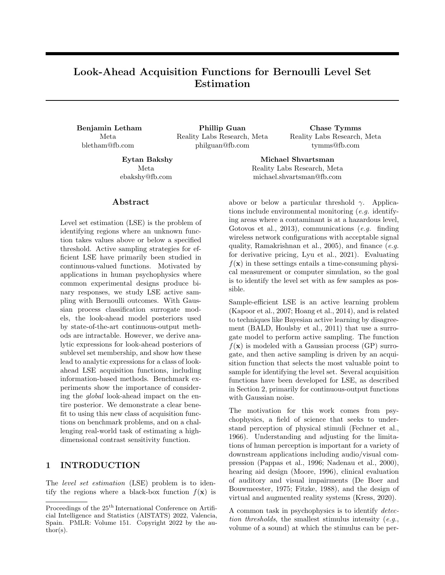learning for identifying function threshold boundaries. In Advances in Neural Information Processing Systems 18, NIPS, pages 163–170.

- <span id="page-9-11"></span>Caflisch, R. E. (1998). Monte Carlo and quasi-Monte Carlo methods. Acta Numerica, 7:1–49.
- <span id="page-9-16"></span>Campbell, F. and Robson, J. (1968). Application of Fourier analysis to the visibility of gratings. The Journal of Physiology, 197(3):551–66.
- <span id="page-9-12"></span>Chevalier, C., Bect, J., Ginsbourger, D., Vazquez, E., Picheny, V., and Richet, Y. (2014). Fast parallel Kriging-based stepwise uncertainty reduction with application to the identification of an excursion set. Technometrics, 56(4):455–465.
- <span id="page-9-20"></span>Chu, W. and Ghahramani, Z. (2005). Preference learning with Gaussian processes. In Proceedings of the 22nd International Conference on Machine Learning, ICML, pages 137–144.
- <span id="page-9-19"></span>Chu, W., Ghahramani, Z., and Williams, C. K. (2005). Gaussian processes for ordinal regression. Journal of Machine Learning Research, 6:1019–1041.
- <span id="page-9-7"></span>Cox, M. and de Vries, B. (2016). A Bayesian binary classification approach to pure tone audiometry. arXiv preprint arXiv:1511.08670.
- <span id="page-9-4"></span>De Boer, E. and Bouwmeester, J. (1975). Clinical psychophysics: Illustrated by the problem of auditory overload. Audiology, 14(4):274–299.
- <span id="page-9-3"></span>Fechner, G. T., Howes, D. H., and Boring, E. G. (1966). Elements of psychophysics, volume 1. Holt, Rinehart and Winston, New York.
- <span id="page-9-5"></span>Fitzke, F. (1988). Clinical psychophysics. Eye, 2(1):S233–S241.
- <span id="page-9-17"></span>Foley, J. M., Varadharajan, S., Koh, C. C., and Farias, M. C. (2007). Detection of Gabor patterns of different sizes, shapes, phases and eccentricities. Vision Research, 47(1):85–107.
- <span id="page-9-21"></span>Fürnkranz, J. and Hüllermeier, E. (2010). Preference learning and ranking by pairwise comparison. In Fürnkranz, J. and Hüllermeier, E., editors, Preference learning, pages 65–82. Springer, Berlin, Heidelberg.
- <span id="page-9-18"></span>Gabor, D. (1946). Theory of communication. Part 1: The analysis of information. Journal of the Institution of Electrical Engineers-Part III: Radio and Communication Engineering, 93(26):429–441.
- <span id="page-9-6"></span>Gardner, J. R., Song, X. D., Weinberger, K. Q., Barbour, D., and Cunningham, J. P. (2015). Psychophysical detection testing with Bayesian active learning. In Proceedings of the Thirty-First Conference on Uncertainty in Artificial Intelligence, UAI, pages 286–297.
- <span id="page-9-14"></span>Genz, A. (2004). Numerical computation of rectangular bivariate and trivariate normal and t probabilities. Statistics and Computing, 14:251–260.
- <span id="page-9-15"></span>Gneiting, T. and Raftery, A. E. (2007). Strictly proper scoring rules, prediction, and estimation. Journal of the American Statistical Association, 102(477):359– 378.
- <span id="page-9-22"></span>González, J., Osborne, M., and Lawrence, N. (2016). GLASSES: Relieving the myopia of Bayesian optimisation. In Proceedings of the 19th International Conference on Artificial Intelligence and Statistics, AISTATS, pages 790–799.
- <span id="page-9-0"></span>Gotovos, A., Casati, N., Hitz, G., and Krause, A. (2013). Active learning for level set estimation. In Proceedings of the Twenty-Third International Joint Conference on Artifical Intelligence, IJCAI, pages 1344–1350.
- <span id="page-9-9"></span>Hensman, J., Matthews, A., and Ghahramani, Z. (2015). Scalable variational Gaussian process classification. In Proceedings of the Eighteenth International Conference on Artificial Intelligence and Statistics, AISTATS, pages 351–360.
- <span id="page-9-8"></span>Hern´andez-Lobato, J. M., Hoffman, M. W., and Ghahramani, Z. (2014). Predictive entropy search for efficient global optimization of black-box functions. In Advances in Neural Information Processing Systems 27, NIPS, pages 918–926.
- <span id="page-9-1"></span>Hoang, T. N., Low, K. H., Jaillet, P., and Kankanhalli, M. (2014). Nonmyopic  $\epsilon$ -bayes-optimal active learning of Gaussian processes. In Proceedings of the 31th International Conference on Machine Learning, ICML, pages 739–747.
- <span id="page-9-2"></span>Houlsby, N., Huszár, F., Ghahramani, Z., and Lengyel, M. (2011). Bayesian active learning for classification and preference learning. arXiv preprint arXiv:1112.5745.
- <span id="page-9-23"></span>Jiang, S., Chai, H., Gonzalez, J., and Garnett, R. (2020a). BINOCULARS for efficient, nonmyopic sequential experimental design. In Proceedings of the 37th International Conference on Machine Learning, ICML, pages 4794–4803.
- <span id="page-9-24"></span>Jiang, S., Jiang, D., Balandat, M., Karrer, B., Gardner, J., and Garnett, R. (2020b). Efficient nonmyopic Bayesian optimization via one-shot multi-step trees. In Advances in Neural Information Processing Systems 33, NeurIPS, pages 18039–18049.
- <span id="page-9-10"></span>Jones, D. R., Schonlau, M., and Welch, W. J. (1998). Efficient global optimization of expensive black-box functions. Journal of Global Optimization, 13:455– 492.
- <span id="page-9-13"></span>Jones, E., Oliphant, T., Peterson, P., et al. (2001). SciPy: Open source scientific tools for Python.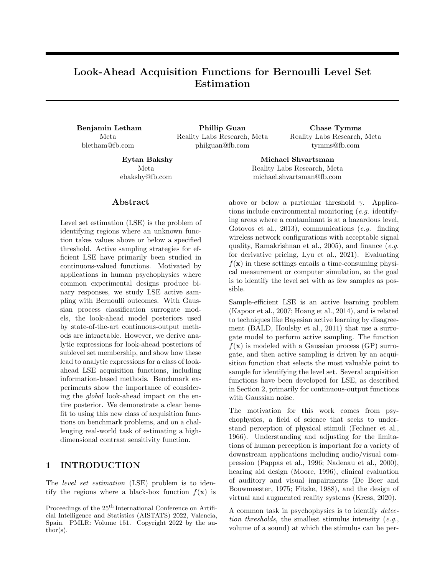- <span id="page-10-2"></span>Kapoor, A., Grauman, K., Urtasun, R., and Darrell, T. (2007). Active learning with Gaussian processes for object categorization. In Proceedings of the 11th IEEE International Conference on Computer Vision, ICCV.
- <span id="page-10-23"></span>Kim, M., Ashraf, M., Pérez-Ortiz, M., Martinovic, J., Wuerger, S., and Mantiuk, R. (2020). Contrast sensitivity functions for HDR displays. London Imaging Meeting, 2020:44–48.
- <span id="page-10-10"></span>Kim, W., Pitt, M. A., Lu, Z. L., and Myung, J. I. (2017). Planning beyond the next trial in adaptive experiments: A dynamic programming approach. Cognitive Science, 41(8):2234–2252.
- <span id="page-10-6"></span>Kress, B. C. (2020). Optical architectures for augmented-, virtual-, and mixed-reality headsets. SPIE, Bellingham, Washington.
- <span id="page-10-12"></span>Kuss, M. and Rasmussen, C. E. (2005). Assessing approximate inference for binary Gaussian process classification. Journal of Machine Learning Research, 6:1679–1704.
- <span id="page-10-1"></span>Lyu, X., Binois, M., and Ludkovski, M. (2021). Evaluating Gaussian process metamodels and sequential designs for noisy level set estimation. Statistics and Computing, 31(43):1–21.
- <span id="page-10-19"></span>Mantiuk, R., Kim, K. J., Rempel, A. G., and Heidrich, W. (2011). HDR-VDP-2: A calibrated visual metric for visibility and quality predictions in all luminance conditions. ACM Transactions on Graphics,  $30(4):1-14.$
- <span id="page-10-20"></span>Mantiuk, R. K., Denes, G., Chapiro, A., Kaplanyan, A., Rufo, G., Bachy, R., Lian, T., and Patney, A. (2021). FovVideoVDP: A visible difference predictor for wide field-of-view video. ACM Transactions on Graphics, 40(4):1–19.
- <span id="page-10-13"></span>Minka, T. P. (2001). Expectation propagation for approximate Bayesian inference. In Proceedings of the Seventeenth Conference on Uncertainty in Artificial Intelligence, UAI, pages 362–369.
- <span id="page-10-5"></span>Moore, B. C. (1996). Perceptual consequences of cochlear hearing loss and their implications for the design of hearing aids. Ear and Hearing, 17(2):133– 161.
- <span id="page-10-22"></span>Mullen, K. (1985). The contrast sensitivity of human color vision to red-green and blue-yellow chromatic gratings. The Journal of Physiology, 359:381–400.
- <span id="page-10-4"></span>Nadenau, M. J., Winkler, S., Alleysson, D., and Kunt, M. (2000). Human vision models for perceptually optimized image processing  $-$  a review. Proceedings of the IEEE, 32.
- <span id="page-10-9"></span>Nguyen, Q. P., Low, B. K. H., and Jaillet, P. (2021). An information-theoretic framework for unifying active learning problems. In Proceedings of the 35th

AAAI Conference on Artificial Intelligence, AAAI, pages 9126–9134.

- <span id="page-10-17"></span>Owen, A. B. (1998). Scrambling Sobol' and Niederreiter-Xing points. Journal of Complexity, 14:466–489.
- <span id="page-10-25"></span>Owen, D. B. (1980). A table of normal integrals. Communications in Statistics - Simulation and Computation, 9(4):389–419.
- <span id="page-10-8"></span>Owen, L., Browder, J., Letham, B., Stocek, G., Tymms, C., and Shvartsman, M. (2021). Adaptive nonparametric psychophysics. arXiv preprint arXiv:2104.09549.
- <span id="page-10-18"></span>Owsley, C. (2003). Contrast sensitivity. Ophthalmology Clinics of North America, 16(2):171—177.
- <span id="page-10-3"></span>Pappas, T. N., Michel, T. A., and Hinds, R. O. (1996). Supra-threshold perceptual image coding. In Proceedings of 3rd IEEE International Conference on Image Processing, ICIP, pages 237–240.
- <span id="page-10-16"></span>Patefield, M. and Tandy, D. (2000). Fast and accurate calculation of Owen's T function. Journal of Statistical Software, 5(5):1–25.
- <span id="page-10-24"></span>Peirce, J., Gray, J. R., Simpson, S., MacAskill, M. R., Höchenberger, R., Sogo, H., Kastman, E. K., and Lindeløv, J. K. (2019). PsychoPy2: Experiments in behavior made easy. Behavior Research Methods, 51:195–203.
- <span id="page-10-15"></span>Picheny, V., Ginsbourger, D., Roustant, O., Haftka, R. T., and Kim, N.-H. (2010). Adaptive designs of experiments for accurate approximation of a target region. Journal of Mechanical Design, 132(7):071008.
- <span id="page-10-0"></span>Ramakrishnan, N., Bailey-Kellogg, C., Tadepalli, S., and Pandey, V. N. (2005). Gaussian processes for active data mining of spatial aggregates. In Proceedings of the 2005 SIAM International Conference on Data Mining, SDM, pages 427–438.
- <span id="page-10-14"></span>Ranjan, P., Bingham, D., and Michailidis, G. (2008). Sequential experiment design for contour estimation from complex computer codes. Technometrics, 50(4):527–541.
- <span id="page-10-11"></span>Rasmussen, C. E. and Williams, C. K. I. (2006). Gaussian Processes for Machine Learning. The MIT Press, Cambridge, Massachusetts.
- <span id="page-10-21"></span>Robson, J. G. (1966). Spatial and temporal contrastsensitivity functions of the visual system. Journal of the Optical Society of America, 56(8):1141–1142.
- <span id="page-10-7"></span>Schlittenlacher, J., Turner, R. E., and Moore, B. C. (2020). Application of Bayesian active learning to the estimation of auditory filter shapes using the notched-noise method. Trends in Hearing, 24.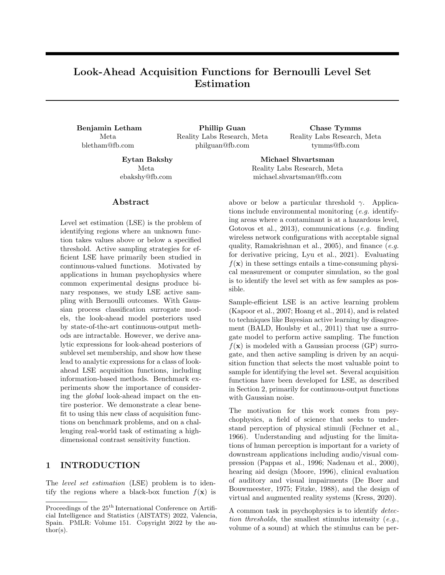- <span id="page-11-3"></span>Schlittenlacher, J., Turner, R. E., and Moore, B. C. J. (2018). Audiogram estimation using Bayesian active learning. The Journal of the Acoustical Society of America, 144(1):421–430.
- <span id="page-11-4"></span>Scott, W., Frazier, P., and Powell, W. (2011). The correlated knowledge gradient for simulation optimization of continuous parameters using Gaussian process regression. SIAM Journal of Optimization, 21(3):996–1026.
- <span id="page-11-10"></span>Siivola, E., Vehtari, A., Vanhatalo, J., Gonzalez, J., and Andersen, M. R. (2018). Correcting boundary over-exploration deficiencies in Bayesian optimization with virtual derivative sign observations. In Proceedings of the 28th IEEE International Workshop on Machine Learning for Signal Processing, MLSP.
- <span id="page-11-1"></span>Song, X. D., Garnett, R., and Barbour, D. L. (2017). Psychometric function estimation by probabilistic classification. The Journal of the Acoustical Society of America, 141(4):2513–2525.
- <span id="page-11-2"></span>Song, X. D., Sukesan, K. A., and Barbour, D. L. (2018). Bayesian active probabilistic classification for psychometric field estimation. Attention, Perception, & Psychophysics, 80(3):798–812.
- <span id="page-11-0"></span>Song, X. D., Wallace, B. M., Gardner, J. R., Ledbetter, N. M., Weinberger, K. Q., and Barbour, D. L. (2015). Fast, continuous audiogram estimation using machine learning. Ear and Hearing, 36(6):e326– e335.
- <span id="page-11-7"></span>Srinivas, N., Krause, A., Kakade, S., and Seeger, M. (2010). Gaussian process optimization in the bandit setting: No regret and experimental design. In Proceedings of the 27th International Conference on Machine Learning, ICML.
- <span id="page-11-11"></span>Tesch, M., Schneider, J., and Choset, H. (2013). Expensive function optimization with stochastic binary outcomes. In Proceedings of the 30th International Conference on Machine Learning, ICML, pages 1283–1291.
- <span id="page-11-5"></span>Wang, Z. and Jegelka, S. (2017). Max-value entropy search for efficient Bayesian optimization. In Proceedings of the 34th International Conference on Machine Learning, ICML, pages 3627–3635.
- <span id="page-11-6"></span>Williams, C. K. I. and Barber, D. (1998). Bayesian classification with Gaussian processes. IEEE Transactions on Pattern Analysis and Machine Intelligence, 20(12):1342–1351.
- <span id="page-11-9"></span>Wright, M. and Johnston, A. (1983). Spatiotemporal contrast sensitivity and visual field locus. Vision Research, 23:983–989.
- <span id="page-11-8"></span>Zanette, A., Zhang, J., and Kochenderfer, M. J. (2018). Robust super-level set estimation using

Gaussian processes. In Joint European Conference on Machine Learning and Knowledge Discovery in Databases, ECML PKDD, pages 276–291.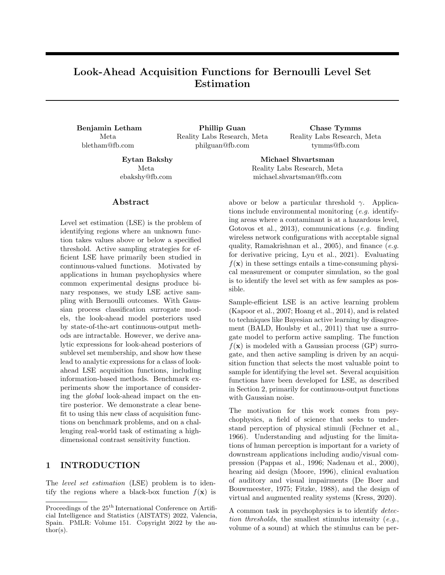# Look-Ahead Acquisition Functions for Bernoulli Level Set Estimation: Supplementary Materials

### S1 PROOFS

Here we provide proofs of the results in Propositions [1](#page-3-4) and [2,](#page-3-1) and Theorem [1.](#page-3-0) [Owen](#page-10-25) [\(1980\)](#page-10-25) undertook the Herculean effort of producing a comprehensive collection of solutions to Gaussian integrals. We use several of his results, given in the following Lemma. We use the following notation for special functions:

- Φ( ) is the standard Gaussian cumulative distribution function.
- $\bullet$   $\phi$ ( ) is the standard Gaussian density function.
- $\phi(\cdot;\mu,\sigma^2)$  is the Gaussian density with mean  $\mu$  and variance  $\sigma^2$ , so that  $\phi(x;\mu,\sigma^2) = \frac{1}{\sigma}\phi\left(\frac{x-\mu}{\sigma}\right)$ .
- $T( , )$  is Owen's T function.
- BvN(,  $\phi$ ) is the standard bivariate normal cumulative distribution function.

Lemma S1.

<span id="page-12-2"></span><span id="page-12-1"></span>
$$
\int_{-7}^{+7} \Phi(a+bx)\phi(x)dx = \Phi\left(\frac{a}{1+b^2}\right),\tag{S1}
$$

$$
\int_{-1}^{+7} \Phi(a+bx)^2 \phi(x) dx = \Phi\left(\frac{a}{1+b^2}\right) \quad 2T\left(\frac{a}{1+b^2}, \frac{1}{1+2b^2}\right),\tag{S2}
$$

$$
\int_{-1}^{+1} \Phi(a+bx)\Phi(h+kx)\phi(x)dx = BvN\left(\frac{a}{1+b^2}, \frac{h}{1+k^2}; \frac{bk}{1+b^2}\right).
$$
 (S3)

These results are 10,010.8, 20,010.4, and 20,010.3, respectively, from [Owen](#page-10-25) [\(1980\)](#page-10-25).

Throughout the proofs in this section, for notational convenience and clarity we will use the shorthand  $f = f(\mathbf{x})$ to represent the latent function value at **x**, and will let  $\mu = \mu(\mathbf{x} \, jD_n)$  and  $\sigma^2 = \sigma^2(\mathbf{x} \, jD_n)$  indicate the posterior mean and variance of f. Thus,  $f_jD_n$   $N(\mu, \sigma^2)$ . Table [S1](#page-12-0) provides a complete list of the abbreviated notation used throughout this supplement.

<span id="page-12-3"></span><span id="page-12-0"></span>

| Short-hand notation   | Definition                                                                |
|-----------------------|---------------------------------------------------------------------------|
| $f, f_q$              | $f(\mathbf{x}), f(\mathbf{x}_q)$                                          |
| $\mu$ , $\mu_q$       | $\mu(\mathbf{x} \not\!\!D_n), \mu(\mathbf{x}_q \not\!\!D_n)$              |
| $\sigma$ , $\sigma_q$ | $\sigma(\mathbf{x} \not\!\!  D_n), \sigma(\mathbf{x}_q \not\!\!  D_n)$    |
| $\sigma_q$            | $Cov[f(\mathbf{x}_q), f(\mathbf{x})/D_n]$                                 |
| $\alpha$              | $\frac{\rho_{\perp}^{\mu}}{1+\sigma^2}$                                   |
| $\epsilon$            | $\frac{1}{1+2\sigma^2}$                                                   |
| $b, b_a$              | $\frac{\gamma}{\sigma}$ , $\frac{\gamma}{\sigma_a}$                       |
| $Z_q$                 | $\left(a_-,b_q;\frac{\rho q}{\sigma_q}\frac{q}{1+\sigma^2}\right)$<br>BvN |
| Z                     | BvN $\left(a\right),b;\frac{\sigma}{1+\sigma^2}\right)$                   |

Table S1: Abbreviated notation used throughout the proofs and other results in this supplement.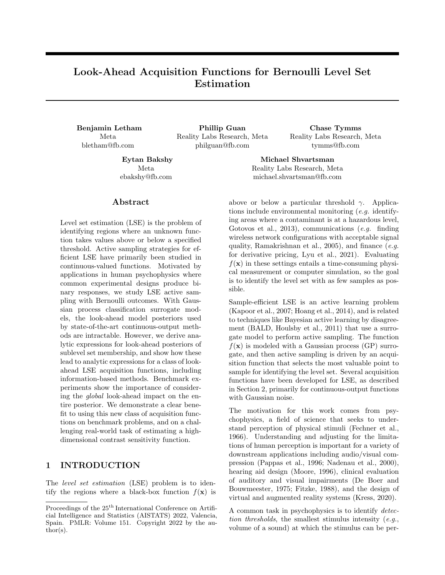Proof of Proposition [1.](#page-3-4)

$$
E[z(\boldsymbol{x})/D_n] = E[\Phi(f)/D_n]
$$
  
=  $\int_{-1}^{+1} \Phi(f)\phi(f;\mu,\sigma^2)df$  (S4)  
=  $\frac{1}{2} \int_{-1}^{+1} \Phi(f)\phi(\frac{f-\mu}{\sigma}) df$ 

<span id="page-13-2"></span>
$$
\sigma \int_{\tau}^{\tau} \int_{\tau}^{\tau} \Phi(\mu + \sigma \tilde{f}) \phi(\tilde{f}) d\tilde{f}
$$
 (S5)

<span id="page-13-0"></span>
$$
= \Phi\left(\frac{\mu}{\sqrt{1+\sigma^2}}\right),\tag{S6}
$$

where [\(S5\)](#page-13-0) used the change of variables  $\tilde{f} = \frac{f}{\sigma} \mu$ , and [\(S6\)](#page-13-1) used [\(S1\)](#page-12-1). For the variance,

$$
Var[z(\boldsymbol{x})/D_n] = E[z(\boldsymbol{x})^2/D_n] \quad (E[z(\boldsymbol{x})/D_n])^2,
$$

where, similarly as before,

$$
E[z(\boldsymbol{x})^2/D_n] = \int_{-1}^{+1} \Phi(f)^2 p(f/D_n) df
$$
  
= 
$$
\int_{-1}^{+1} \Phi(\mu + \sigma \tilde{f})^2 \phi(\tilde{f}) d\tilde{f}
$$
  
= 
$$
\Phi\left(\frac{\mu}{\sqrt{1+\sigma^2}}\right) 2T\left(\frac{\mu}{\sqrt{1+\sigma^2}}, \frac{1}{\sqrt{1+2\sigma^2}}\right)
$$

using [\(S2\)](#page-12-2). Letting  $a = \frac{\rho \mu}{1 + \sigma^2}$  and  $c = \frac{\rho \mu}{1 + 2\sigma^2}$  as in Proposition [1,](#page-3-4) we have that

Var[
$$
z(\mathbf{x})jD_n
$$
] =  $\Phi(a)$   $\Phi(a)^2$  2T( $a, c$ ).

<span id="page-13-1"></span>

 $\Box$ 

Proof of Proposition [2.](#page-3-1)

$$
\mathsf{P}(y = 1/\mathsf{D}_n, \mathbf{x}) = \int_{-1}^{+1} \mathsf{P}(y = 1/\mathit{f}) p(\mathit{f}/\mathsf{D}_n) d\mathit{f} = \int_{-1}^{+1} \Phi(\mathit{f}) \phi(\mathit{f}; \mu, \sigma^2) d\mathit{f},
$$

which we have already seen in [\(S4\)](#page-13-2) equals  $\Phi(a)$ .

For the proof of Theorem [1,](#page-3-0) we will introduce additional shorthand notation  $f_q = f(\mathbf{x}_q)$ , and as before will let  $f_q/D_n$   $\mathcal{N}(\mu_q, \sigma_q^2)$ . We let  $\sigma_q$  denote the covariance between f and  $f_q$ . We use the following result on the conditional distribution between  $f$  and  $f_q$ .

<span id="page-13-4"></span>Lemma S2. Let

$$
\begin{pmatrix} f_1 \\ f_2 \end{pmatrix} \quad \mathcal{N} \left( \begin{pmatrix} \mu_1 \\ \mu_2 \end{pmatrix}, \begin{pmatrix} \sigma_1^2 & \sigma_{12} \\ \sigma_{21} & \sigma_2^2 \end{pmatrix} \right).
$$

Then, the conditional density for  $f_1$  given  $f_2$   $\gamma$  is

$$
p(f_1/f_2 \quad \gamma) = \frac{\phi\left(\frac{f_1 \quad \mu_1}{\sigma_1}\right)}{\sigma_1 \Phi\left(\frac{\gamma}{\sigma_2}\right)} \Phi\left(\frac{\gamma}{\sqrt{\sigma_2^2}} \frac{\mu_2 \quad \frac{\sigma_{12}}{\sigma_1^2} (f_1 \quad \mu_1)}{\sqrt{\sigma_2^2 \quad \frac{\sigma_{12}^2}{\sigma_1^2}}}\right)
$$

Proof. By Bayes' theorem,

<span id="page-13-3"></span>
$$
p(f_1/f_2 \quad \gamma) = \frac{p(f_2 \quad \gamma/f_1)p(f_1)}{p(f_2 \quad \gamma)} = \frac{p(f_2 \quad \gamma/f_1)\phi\left(\frac{f_1 \quad \mu_1}{\sigma_1}\right)}{\sigma_1\Phi\left(\frac{\gamma}{\sigma_2}\right)}.
$$
\n(S7)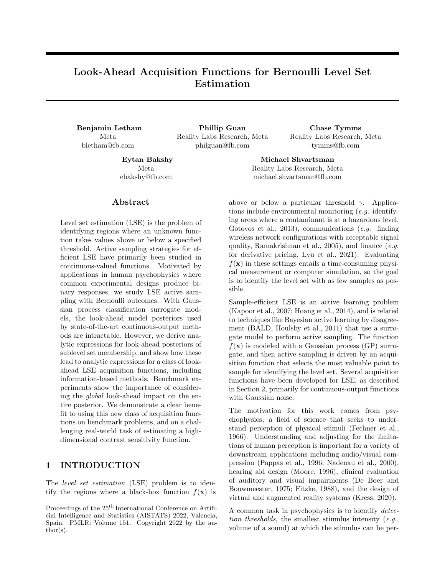It is well-known that

$$
p(f_2/f_1 = x) = \mathcal{N}(\mu_{2j1}, \sigma_{2j1})
$$

where  $\mu_{2j1} = \mu_2 + \frac{\sigma_{12}}{\sigma_1^2}(x - \mu_1)$  and  $\sigma_{2j1}^2 = \sigma_2^2 - \frac{\sigma_{12}^2}{\sigma_1^2}$ . Thus,

$$
p(f_2 \quad \gamma/f_1) = \Phi\left(\frac{\gamma - \mu_{2j1}}{\sigma_{2j1}}\right) = \Phi\left(\frac{\gamma - \mu_2 - \frac{\sigma_{12}}{\sigma_1^2}(f_1 - \mu_1)}{\sqrt{\sigma_2^2 - \frac{\sigma_{12}^2}{\sigma_1^2}}}\right),
$$

which when plugged into [\(S7\)](#page-13-3) produces the result.

Proof of Theorem [1.](#page-3-0) By Bayes' theorem, we have that

$$
\pi(\mathbf{x}_q)D_{n+1}(\mathbf{x}, y = 1)) = P(f_q \quad \gamma j D_n, \mathbf{x}, y = 1)
$$

$$
= \frac{P(y = 1)D_n, \mathbf{x}, f_q \quad \gamma P(f_q \quad \gamma j D_n)}{P(y = 1)D_n, \mathbf{x})}
$$

From Proposition [2](#page-3-1) we know the denominator equals  $\Phi(a)$  and can easily compute  $P(f_q - \gamma/D_n) = \Phi\left(\frac{\gamma - \mu_q}{\sigma_q}\right)$  $\frac{\mu_q}{\sigma_q}\Big) =$  $\Phi(b_q),$  so the only term remaining is  ${\mathsf P}(y~=1/D_n,{\bf x}\,$  ,  $f_q$  –  $\gamma).$ 

$$
P(y = 1/D_n, \mathbf{x}, f_q \quad \gamma) = \int_{-7}^{+7} P(y = 1/f) p(f / D_n, f_q \quad \gamma) df
$$
  
\n
$$
= \int_{-7}^{+7} \Phi(f) p(f / D_n, f_q \quad \gamma) df
$$
  
\n
$$
= \frac{1}{\sigma \Phi\left(\frac{\gamma - \mu_q}{\sigma_q}\right)} \int_{-7}^{+7} \Phi(f) \Phi\left(\frac{\gamma - \mu_q - \frac{\sigma_q}{\sigma^2}(f - \mu)}{\sqrt{\sigma_q^2 - \frac{\sigma_q^2}{\sigma^2}}}\right) \phi\left(\frac{f - \mu}{\sigma}\right) df
$$
(S8)  
\n
$$
= \frac{1}{\Phi\left(\frac{\gamma - \mu_q}{\sigma_q}\right)} \int_{-7}^{+7} \Phi(\mu + \sigma \tilde{f}) \Phi\left(\frac{\gamma - \mu_q - \frac{\sigma_q}{\sigma}\tilde{f}}{\sqrt{\sigma_q^2 - \frac{\sigma_q^2}{\sigma^2}}}\right) \phi(\tilde{f}) d\tilde{f}
$$
  
\n
$$
= \frac{1}{\Phi\left(\frac{\gamma - \mu_q}{\sigma_q}\right)} BvN \left(\frac{\mu}{\sqrt{1 + \sigma^2}}, \frac{\gamma - \mu_q}{\sqrt{\sigma_q^2 - \frac{\sigma_q^2}{\sigma^2}}\sqrt{1 + \frac{\sigma_q^2}{\sigma^2 \sigma_q^2 - \sigma_q^2}}}{\sqrt{1 + \sigma^2}\sqrt{1 + \sigma^2}\sqrt{1 + \frac{\sigma_q^2}{\sigma^2 \sigma_q^2 - \sigma_q^2}}}\right)
$$
  
\n
$$
= \frac{1}{\Phi\left(\frac{\gamma - \mu_q}{\sigma_q}\right)} BvN \left(\frac{\mu}{\sqrt{1 + \sigma^2}}, \frac{\gamma - \mu_q}{\sigma_q}, \frac{\sigma_q}{\sigma_q\sqrt{1 + \sigma^2}}\right).
$$
(S9)

Here [\(S8\)](#page-14-0) used Lemma [S2,](#page-13-4) and [\(S9\)](#page-14-1) used [\(S3\)](#page-12-3) with  $a = \mu$ ,  $b = \sigma$ ,  $h = \frac{\gamma - \mu_q}{\sqrt{g}}$  $\sigma_q^2$   $\frac{\sigma_q^2}{\sigma^2}$ , and  $k = \frac{\sigma_q}{\sigma^2 \sigma_q^2 \sigma_q^2}$ . Combining this term with the other terms, and using the convenient definitions of  $a$  and  $b_q$ , we have that

$$
\pi(\mathbf{x}_q)D_{n+1}(\mathbf{x}, y = 1)) = \frac{1}{\Phi(a)} BvN\left(a, b_q; \frac{\sigma_q}{\sigma_q\sqrt{1+\sigma^2}}\right).
$$

For the  $y = 0$ , case,

$$
\pi(\mathbf{x}_q)D_{n+1}(\mathbf{x}, y = 0)) = \frac{P(y = 0)D_n, \mathbf{x}, f_q \quad \gamma)P(f_q \quad \gamma)D_n}{P(y = 0)D_n, \mathbf{x})}
$$

The terms are easily computed from what we have already found:  $P(y = 0/D_n, x) = 1$   $\Phi(a)$ , and  $P(y = 0/D_n, x) = 1$  $0/D_n$ ,  $\mathbf{x}$ ,  $f_q$   $\gamma$ ) = 1  $\frac{1}{\Phi(b_q)}$ BvN  $\left(a, b_q; \frac{\mathcal{O}^q}{\sigma_q} \right)$  $\frac{\rho_{q}}{\sigma_{q}^{}}\frac{\rho_{q}}{1+\sigma^{2}}$ . Plugging these in yields the result in the Theorem.

 $\Box$ 

<span id="page-14-1"></span><span id="page-14-0"></span>.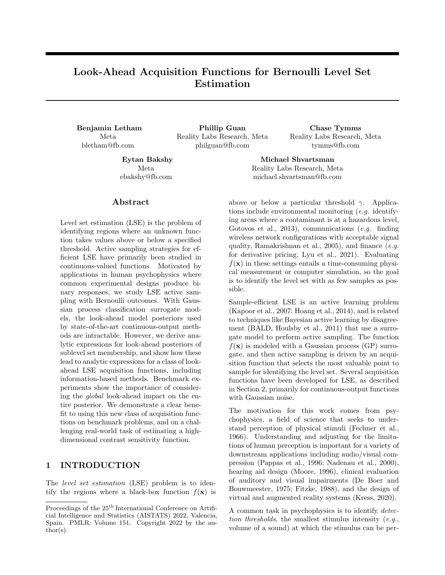# S2 ACQUISITION EXPRESSIONS

Here we provide the full expression used to compute each look-ahead acquisition function, using the same posterior short-hand notation as in the previous section.

#### Global SUR

$$
\alpha_{\text{GlobalSUR}}(\mathbf{x}) = \sum_{\mathbf{x}_q \geq G} (\min(\Phi(b_q), 1 - \Phi(b_q)) - \min(Z_q, \Phi(a) - Z_q) - \min(\Phi(b_q) - Z_q, \Phi(-a) - \Phi(b_q) - Z_q)).
$$

### Localized SUR

 $\alpha_{\text{LocalSUR}}(x) = \min(\Phi(b), 1 \quad \Phi(b)) \quad \min(Z, \Phi(a) \quad Z) \quad \min(\Phi(b) \quad Z, \Phi(a) \quad \Phi(b) \quad Z).$ 

#### Localized MI

$$
\alpha_{\text{LocalMI}}(\mathbf{x}_{\text{ }})=H_b(\Phi(b_{\text{ }}))\quad \Phi(a_{\text{ }})H_b\left(\frac{Z}{\Phi(a_{\text{ }})}\right)+\Phi(\text{ }a_{\text{ }})H_b\left(\frac{\Phi(b_{\text{ }})-Z}{\Phi(-a_{\text{ }})}\right).
$$

Global MI

$$
\alpha_{\text{GlobalMI}}(\mathbf{x}) = \sum_{\mathbf{x}_q \geq G} \left( H_b(\Phi(b_q)) - \Phi(a) H_b\left(\frac{Z_q}{\Phi(a)}\right) + \Phi(-a) H_b\left(\frac{\Phi(b_q) - Z_q}{\Phi(-a)}\right) \right).
$$

EAVC

$$
\alpha_{\text{EAVC}}(\mathbf{x}) = \Phi(a) \left| \sum_{\mathbf{x}_q \geq G} \left( \Phi(b_q) - \frac{Z_q}{\Phi(a)} \right) \right| + \Phi(a) \left| \sum_{\mathbf{x}_q \geq G} \left( \Phi(b_q) - \frac{\Phi(b_q) - Z_q}{\Phi(a)} \right) \right|.
$$

## S3 ADDITIONAL BENCHMARK EXPERIMENT RESULTS

### S3.1 Synthetic Functions

The synthetic functions were designed to explore a variety of input and output patterns that are present in real LSE problems, and in psychophysics problems in particular. A common experimental paradigm in psychophysics is the two-alternative forced choice (2AFC) method in which the participant is given two options and forced to select one. The CSF study in Section [6,](#page-6-2) and illustrated in Fig. [4,](#page-6-1) is an example of a 2AFC task. For 2AFC tasks, the minimum probability of being correct is 0.5, because participants are forced to make a choice and in the absence of a detectable stimulus will guess randomly. Thus the probability output space is [0.5, 1], and the goal in these experiments is typically to find the  $\theta = 0.75$  threshold, as is done in our experiment. However, there are other experimental designs, and other Bernoulli LSE tasks, in which the probability of success will vary from 0 to 1, and so to show that the methods are not limited to the 2AFC setting, we designed the Binarized Hartmann6 function to have probabilities from 0 to 1, and there set the target threshold to  $\theta = 0.5$ . We now give the functional form for each synthetic function.

#### S3.1.1 Binarized Hartmann6 Function

The Binarized Hartmann6 function was a binarization of the modified Hartmann 6-d function used by [Lyu et al.](#page-10-1) [\(2021\)](#page-10-1). Their modified Hartmann 6-d function is:

$$
h(\mathbf{x}) = 1 \quad \sum_{i=1}^{4} \alpha_i \exp\left(-\sum_{j=1}^{6} A_{ij} (x_j - P_{ij})^2\right)
$$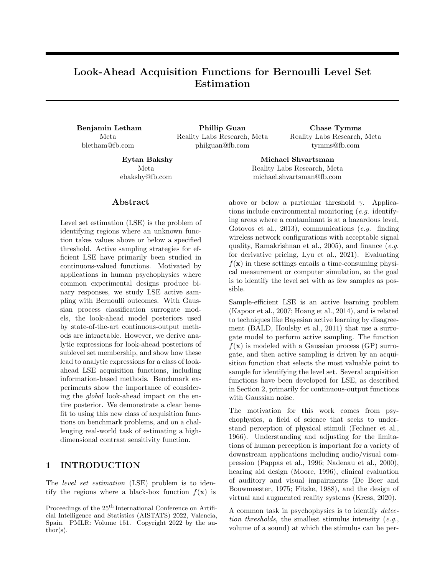with  $\alpha = [2.0, 2.2, 2.8, 3.0],$ 

$$
A = \begin{pmatrix} 8 & 3 & 10 & 3.5 & 1.7 & 6 \\ 0.5 & 8 & 10 & 1.0 & 6 & 9 \\ 3 & 3.5 & 1.7 & 8 & 10 & 6 \\ 10 & 6 & 0.5 & 8 & 1.0 & 9 \end{pmatrix}, \text{ and } P = 10^{-4} \begin{pmatrix} 1312 & 1696 & 5569 & 124 & 8283 & 5886 \\ 2329 & 4135 & 8307 & 3736 & 1004 & 9991 \\ 2348 & 1451 & 3522 & 2883 & 3047 & 6650 \\ 4047 & 8828 & 8732 & 5743 & 1091 & 381 \end{pmatrix}.
$$

We used  $f(\mathbf{x}) = 3h(\mathbf{x})$  2 as the ground-truth latent function, so that Bernoulli samples were simulated according to  $\Phi(f(\mathbf{x}))$ . The input space for this problem is as in the classic Hartmann6 problem,  $\mathbf{x} \geq [0,1]^6$ . The output probabilities,  $\Phi(f(\mathbf{x}))$ , span [0, 1], so for this problem the target threshold was set as  $\theta = 0.5$ .

#### S3.1.2 Psychophysical Discrimination, 2-d

The latent function for this problem is computed as

$$
f(x_1, x_2) = \frac{1 + x_2}{0.05 + 0.4x_1^2(0.2x_1 - 1)^2}.
$$

The input domain is  $x_1, x_2 \n\supseteq [1, 1]$ , and the output probabilities span [0.5, 1], with the target threshold  $\theta = 0.75$ .

#### S3.1.3 Psychophysical Discrimination, 8-d

For  $\mathbf{x} = [x_1, \ldots, x_8]$ , we define

$$
c(\mathbf{x}) = \left(\frac{x_3}{2}\left(1 - \cos\left(\frac{3}{5}\pi x_2 x_8 + x_7\right)\right) + x_4\right)\left(2 - x_6\left(1 + \sin\left(\frac{3}{10}\pi x_2 x_8 + x_7\right)\right)\right) - 1.
$$

Then, the Bernoulli probability for the 8-d Psychophysical Discrimination function is computed as

$$
z(\mathbf{x}) = \frac{1}{2} + \frac{1}{2}\Phi\left(\frac{x_1 - c(\mathbf{x})}{x_5(2 + c(\mathbf{x}))}\right).
$$

The input space is  $x \n\geq 1$ ,  $1\}$ <sup>8</sup> and, as in the 2-d discrimination function, the output probabilities span [0.5, 1], so the target threshold was set to 0.75.

#### S3.2 Surrogate Model and Acquisition Optimization

All methods and all experiments used the same surrogate model: A typical variational classification GP [\(Hensman](#page-9-9) [et al., 2015\)](#page-9-9) with 100 inducing points and an RBF kernel. Kernel hyperpriors were taken as the defaults from the Botorch package [\(Balandat et al., 2020\)](#page-8-1). Inducing points were selected by applying k-means to the observations. In each iteration of active learning, the model was updated with the new observation by refitting the variational distribution and kernel hyperparameters. In most iterations, the refitting was warm-started by beginning the fitting at the previous values. To avoid getting stuck in a local optimum, and as is common in Bayesian optimization, every  $10^{th}$  iteration the re-fitting was done from scratch with a refreshed set of inducing points.

To avoid conflating acquisition quality with the ability to optimize the acquisition function, all acquisition functions were optimized in the same manner, using the gradient-based acquisition optimization utilities from the Botorch package. For the global acquisition functions, the reference set G was taken as a quasi-random (scrambled Sobol) set of 500 points, which was changed for each iteration. Straddle in the probability space was evaluated as a Monte Carlo acquisition function [\(Balandat et al., 2020\)](#page-8-1) due to the lack of a differentiable implementation of Owen's T function.

Each benchmark run initialized with an initial design of 10 quasi-random points, after which the surrogate model was fit and all subsequent iterations used active sampling with the specified acquisition function. Throughout the active sampling, performance metrics were computed using a quasi-random test-set of 1000 points, which was sampled independently from anything done for the modeling or acquisition optimization.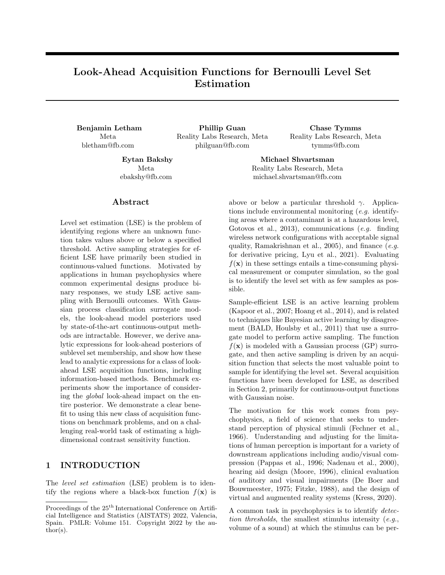

Figure S1: Benchmark results: alternative metric. Expected classification error (lower is better) of the GP surrogate model as a function of active sampling iteration, for the same benchmark results as in Fig. [3.](#page-6-0) As before, shown is the mean and two standard errors over 200 replications. On the high-dimensional problems, the localized look-ahead methods (LocalMI, LocalSUR) performed significantly worse than the quasi-random baseline. Global methods GlobalMI and EAVC were consistently the best.

### S3.3 Additional Evaluation Metrics

The results in the main text showed performance evaluated using Brier score, a strictly proper scoring rule. Proper scoring rules are an appropriate evaluation metric for this problem space because they assess not only the quality of the model point prediction, but also the calibration of posterior uncertainty. An alternative metric for evaluating classifiers in particular is the expected classification error, defined as  $p(1 \quad y) + (1 \quad p)y$  for a classifier that provides p as the probability that  $y = 1$  (*i.e.*, that a point is below threshold), and y the actual outcome (*i.e.*, if the point was actually below threshold). Fig. [S1](#page-4-1) show the results of the benchmark experiments when evaluated using expected classification error. The conclusions of the experiments do not change under this alternative evaluation metric.

Fig. [S2](#page-4-3) shows the amount of wall time required to optimize the acquisition function for a model fit to 250 observations. Global acquisition functions required more wall-time to compute due to the global reference set G, however with a per-iteration time between half a second and a second for the complete optimization when given multiple threads, they were well within the speed required for experiments with human participants.

### S3.4 Comparison to BALD and BALV

The main text discusses how the use of global active sampling methods such as BALD [\(Houlsby et al., 2011\)](#page-9-2) or Bayesian active learning by variance (BALV) [\(Song et al., 2015\)](#page-11-0) can be inefficient for level-set estimation because they may focus sampling effort on reducing variance in areas that are not close to the threshold. Fig. [S3](#page-6-0) shows empirically that this is the case, by evaluating BALD and BALV on the same benchmark problems used in the main text. For LSE in high dimensions, BALD and BALV performed significantly worse than quasi-random search, which further emphasizes the importance of developing acquisition functions specifically for LSE.

### S3.5 An Analysis of Edge Sampling Behavior

We highlighted in the main text that a source of poor performance for localized look-ahead methods is their tendency to oversample edge locations. This behavior is shown empirically in Fig. [S4,](#page-6-1) using the benchmark results from Section [5.](#page-5-0) For each benchmark run, we evaluated the proportion of active learning samples that were within 5% of the search space range of an edge. For instance, on the Binarized Hartmann6 problem where the domain is  $[0,1]^6$ , this was the proportion of points with an element less than 0.05 or greater than 0.95. In high dimensions, the localized look-ahead methods LocalMI and LocalSUR, along with the straddle acquisition, sampled significantly more edge locations than the global look-ahead methods, or quasi-random sampling. LocalMI was particularly focused on the edges, with 99% edge samples for Binarized Hartmann6.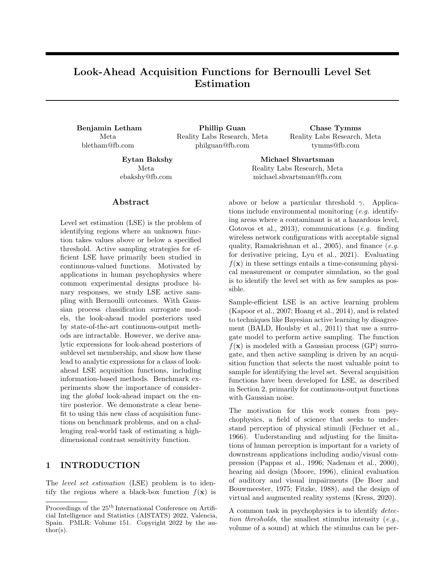

Figure S2: Benchmark results: wall time. Wall time required for acquisition optimization, in seconds, based on a surrogate model fit to 250 observations drawn from a Sobol sequence. This evaluation was done on an AWS EC2 c6l.18xlarge instance and is the average of 20 replications. Global acquisition methods required less than a second per iteration to identify the next point for evaluation.



Figure S3: **Benchmark results: BALD**. The same benchmark results as in Fig. [3,](#page-6-0) with the addition of global active sampling methods BALD and BALV. Global active sampling methods can waste samples reducing uncertainty in areas far from the threshold, and here they performed worse than quasi-random search for LSE.

EAVC had the least tendency to sample edges, and in high dimensions had an edge sampling rate comparable to quasi-random search.

#### S3.6 Sensitivity Study

The look-ahead acquisition functions described and developed in this paper do not have any hyperparameters that must be tuned. The straddle acquisition function has the  $\beta$  hyperparameter, and [Lyu et al.](#page-10-1) [\(2021\)](#page-10-1) have done a sensitivity study of various strategies for selecting  $\beta$  and found that none consistently performed well. Here we study sensitivity to two aspects of the experiments: the initial design, and the target threshold.

#### S3.6.1 Initial Design Sensitivity

Each benchmark run in the results of Section [5](#page-5-0) was initialized with 10 quasi-random points. We saw in Fig. [S4](#page-6-1) that localized look-ahead methods over-sampled edge locations, and hypothesized that a larger initial design would provide a better initial global surrogate model, under which the high degree of exploitation in the localized look-ahead methods could actually be beneficial.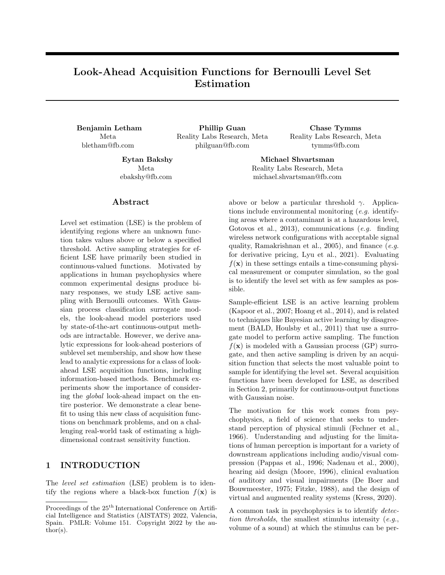Look-Ahead Acquisition Functions for Bernoulli Level Set Estimation



Figure S4: Benchmark results: edge sampling. For the benchmark results from Fig. [3,](#page-6-0) the proportion of active learning iterations in which the evaluated point was within 5% of an edge of the search space. Like the Straddle acquisition, localized look-ahead methods did significantly more edge sampling than global look-ahead methods in high-dimensions.

Fig. [S5](#page-7-0) shows the final Brier score after 750 total iterations, for increasingly large initial designs. Note that the total number of iterations was fixed at 750, so that the initial design of size 10 had 740 active sampling iterations, while that of size 500 had only 250 active sampling iterations. The sensitivity study focuses on a subset of methods (EAVC, LocalMI, and GlobalMI) that were most characteristic. As hypothesized, LocalMI benefited significantly from having a larger initial design, and the improved global surrogate that a larger initial design entails. Particularly on the Binarized Hartmann6 problem, LocalMI performed significantly worse than quasi-random sampling with the small initial design of 10 points, but with an initial design of 250 (out of 750) points, was able to do slightly better than quasirandom. While LocalMI did perform better with a larger initial design on all three high-dimensional problems, it still did not match the performance of the global methods. The global methods GlobalMI and EAVC, in contrast, performed best for the smallest initial designs, which permitted the most active sampling. Generally, performance with the global methods was robust to the size of the initial design up to 250 points (one third of the total budget).

### S3.6.2 Target Threshold Sensitivity

Fig. [S6](#page-20-0) shows how the final Brier score varies with the target threshold for the problem. Changing the target threshold significantly alters the LSE problem, by focusing the active sampling in a different part of the search space. LSE performance thus changes when the target threshold is changed, however Fig. [S6](#page-20-0) shows that across this large set of target level sets, the global look-ahead methods continued to consistently be the best.

# S4 DETAILS OF REAL-WORLD EXPERIMENT

For the real-world CSF experiment, the stimulus feature space was 8-dimensional and we collected 1000 stimuli generated from a Sobol sequence over that stimulus space. We used a GP classification surrogate model as ground truth. The model was fit using an RBF kernel over six of the stimulus features to create a 6-d problem space. Two stimulus properties, angular dimensions of eccentricity and orientation, were left unmodeled. This effectively added noise to the surrogate function and increased the difficulty of level-set estimation. The model was a variational classification GP with training locations used for inducing points. The GP mean was used for the ground-truth latent f from which Bernoulli responses were simulated.